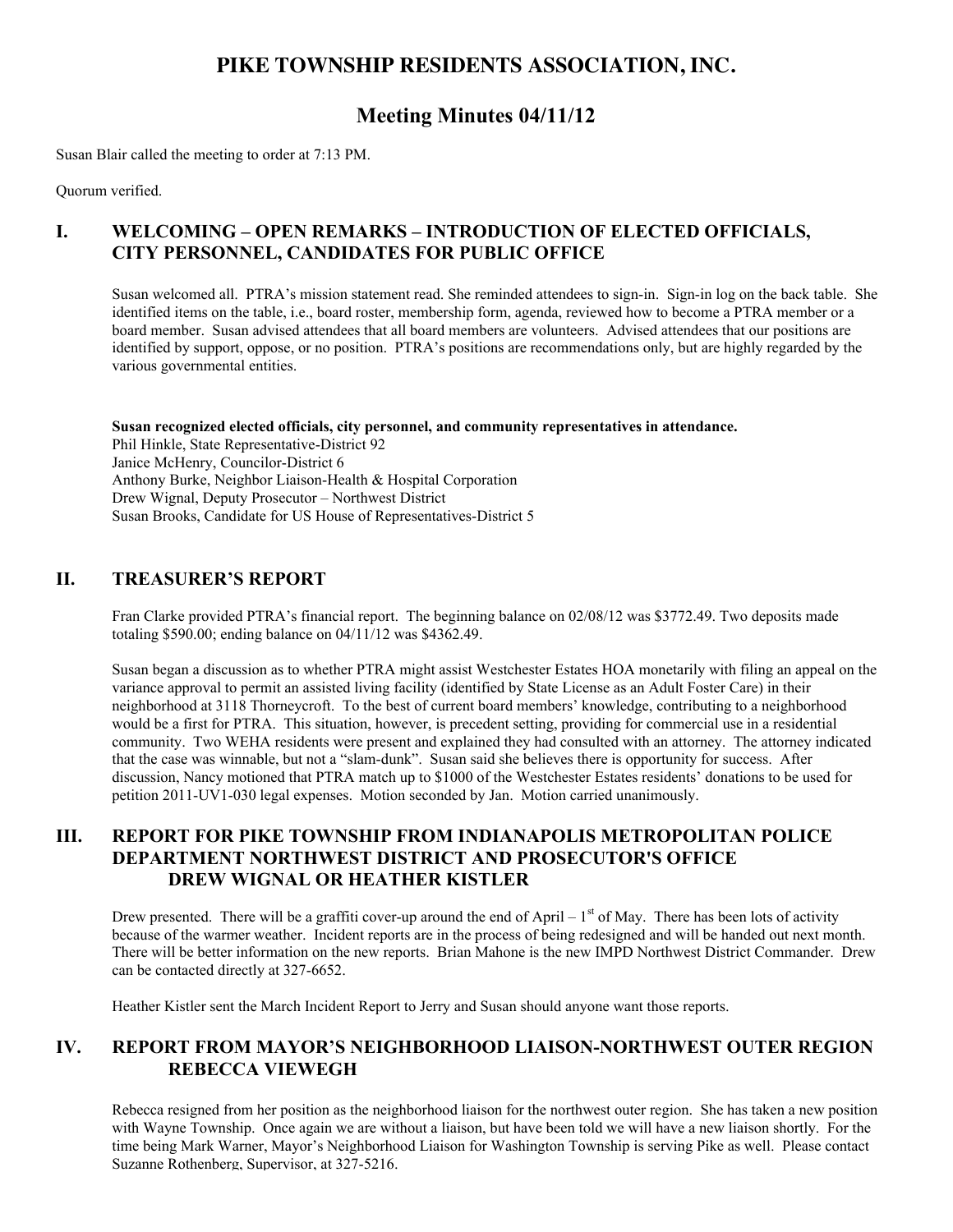# **PIKE TOWNSHIP RESIDENTS ASSOCIATION, INC.**

# **Meeting Minutes 04/11/12**

Susan Blair called the meeting to order at 7:13 PM.

Quorum verified.

## **I. WELCOMING – OPEN REMARKS – INTRODUCTION OF ELECTED OFFICIALS, CITY PERSONNEL, CANDIDATES FOR PUBLIC OFFICE**

Susan welcomed all. PTRA's mission statement read. She reminded attendees to sign-in. Sign-in log on the back table. She identified items on the table, i.e., board roster, membership form, agenda, reviewed how to become a PTRA member or a board member. Susan advised attendees that all board members are volunteers. Advised attendees that our positions are identified by support, oppose, or no position. PTRA's positions are recommendations only, but are highly regarded by the various governmental entities.

**Susan recognized elected officials, city personnel, and community representatives in attendance.** Phil Hinkle, State Representative-District 92 Janice McHenry, Councilor-District 6 Anthony Burke, Neighbor Liaison-Health & Hospital Corporation Drew Wignal, Deputy Prosecutor – Northwest District Susan Brooks, Candidate for US House of Representatives-District 5

### **II. TREASURER'S REPORT**

Fran Clarke provided PTRA's financial report. The beginning balance on 02/08/12 was \$3772.49. Two deposits made totaling \$590.00; ending balance on 04/11/12 was \$4362.49.

Susan began a discussion as to whether PTRA might assist Westchester Estates HOA monetarily with filing an appeal on the variance approval to permit an assisted living facility (identified by State License as an Adult Foster Care) in their neighborhood at 3118 Thorneycroft. To the best of current board members' knowledge, contributing to a neighborhood would be a first for PTRA. This situation, however, is precedent setting, providing for commercial use in a residential community. Two WEHA residents were present and explained they had consulted with an attorney. The attorney indicated that the case was winnable, but not a "slam-dunk". Susan said she believes there is opportunity for success. After discussion, Nancy motioned that PTRA match up to \$1000 of the Westchester Estates residents' donations to be used for petition 2011-UV1-030 legal expenses. Motion seconded by Jan. Motion carried unanimously.

### **III. REPORT FOR PIKE TOWNSHIP FROM INDIANAPOLIS METROPOLITAN POLICE DEPARTMENT NORTHWEST DISTRICT AND PROSECUTOR'S OFFICE DREW WIGNAL OR HEATHER KISTLER**

Drew presented. There will be a graffiti cover-up around the end of April –  $1<sup>st</sup>$  of May. There has been lots of activity because of the warmer weather. Incident reports are in the process of being redesigned and will be handed out next month. There will be better information on the new reports. Brian Mahone is the new IMPD Northwest District Commander. Drew can be contacted directly at 327-6652.

Heather Kistler sent the March Incident Report to Jerry and Susan should anyone want those reports.

# **IV. REPORT FROM MAYOR'S NEIGHBORHOOD LIAISON-NORTHWEST OUTER REGION REBECCA VIEWEGH**

Rebecca resigned from her position as the neighborhood liaison for the northwest outer region. She has taken a new position with Wayne Township. Once again we are without a liaison, but have been told we will have a new liaison shortly. For the time being Mark Warner, Mayor's Neighborhood Liaison for Washington Township is serving Pike as well. Please contact Suzanne Rothenberg, Supervisor, at 327-5216.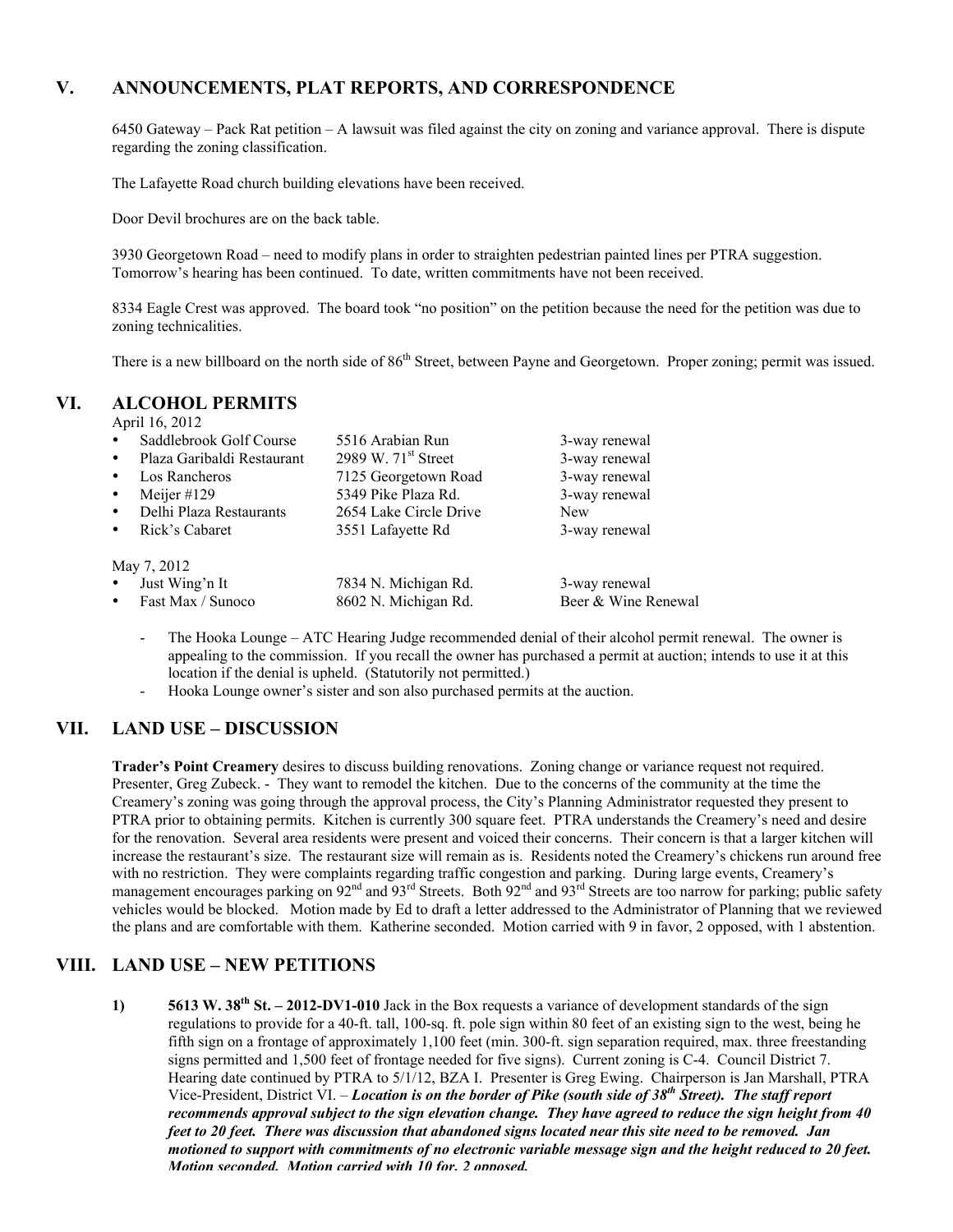## **V. ANNOUNCEMENTS, PLAT REPORTS, AND CORRESPONDENCE**

6450 Gateway – Pack Rat petition – A lawsuit was filed against the city on zoning and variance approval. There is dispute regarding the zoning classification.

The Lafayette Road church building elevations have been received.

Door Devil brochures are on the back table.

3930 Georgetown Road – need to modify plans in order to straighten pedestrian painted lines per PTRA suggestion. Tomorrow's hearing has been continued. To date, written commitments have not been received.

8334 Eagle Crest was approved. The board took "no position" on the petition because the need for the petition was due to zoning technicalities.

There is a new billboard on the north side of 86<sup>th</sup> Street, between Payne and Georgetown. Proper zoning; permit was issued.

#### **VI. ALCOHOL PERMITS**

April 16, 2012

| $\bullet$   | Saddlebrook Golf Course    | 5516 Arabian Run       | 3-way renewal       |
|-------------|----------------------------|------------------------|---------------------|
|             | Plaza Garibaldi Restaurant | 2989 W. $71st$ Street  | 3-way renewal       |
|             | Los Rancheros              | 7125 Georgetown Road   | 3-way renewal       |
|             | Meijer #129                | 5349 Pike Plaza Rd.    | 3-way renewal       |
|             | Delhi Plaza Restaurants    | 2654 Lake Circle Drive | <b>New</b>          |
|             | Rick's Cabaret             | 3551 Lafayette Rd      | 3-way renewal       |
| May 7, 2012 |                            |                        |                     |
|             | Just Wing'n It             | 7834 N. Michigan Rd.   | 3-way renewal       |
|             | Fast Max / Sunoco          | 8602 N. Michigan Rd.   | Beer & Wine Renewal |

- The Hooka Lounge ATC Hearing Judge recommended denial of their alcohol permit renewal. The owner is appealing to the commission. If you recall the owner has purchased a permit at auction; intends to use it at this location if the denial is upheld. (Statutorily not permitted.)
- Hooka Lounge owner's sister and son also purchased permits at the auction.

### **VII. LAND USE – DISCUSSION**

**Trader's Point Creamery** desires to discuss building renovations. Zoning change or variance request not required. Presenter, Greg Zubeck. - They want to remodel the kitchen. Due to the concerns of the community at the time the Creamery's zoning was going through the approval process, the City's Planning Administrator requested they present to PTRA prior to obtaining permits. Kitchen is currently 300 square feet. PTRA understands the Creamery's need and desire for the renovation. Several area residents were present and voiced their concerns. Their concern is that a larger kitchen will increase the restaurant's size. The restaurant size will remain as is. Residents noted the Creamery's chickens run around free with no restriction. They were complaints regarding traffic congestion and parking. During large events, Creamery's management encourages parking on 92<sup>nd</sup> and 93<sup>rd</sup> Streets. Both 92<sup>nd</sup> and 93<sup>rd</sup> Streets are too narrow for parking; public safety vehicles would be blocked. Motion made by Ed to draft a letter addressed to the Administrator of Planning that we reviewed the plans and are comfortable with them. Katherine seconded. Motion carried with 9 in favor, 2 opposed, with 1 abstention.

#### **VIII. LAND USE – NEW PETITIONS**

**1) 5613 W. 38th St. – 2012-DV1-010** Jack in the Box requests a variance of development standards of the sign regulations to provide for a 40-ft. tall, 100-sq. ft. pole sign within 80 feet of an existing sign to the west, being he fifth sign on a frontage of approximately 1,100 feet (min. 300-ft. sign separation required, max. three freestanding signs permitted and 1,500 feet of frontage needed for five signs). Current zoning is C-4. Council District 7. Hearing date continued by PTRA to 5/1/12, BZA I. Presenter is Greg Ewing. Chairperson is Jan Marshall, PTRA Vice-President, District VI. – *Location is on the border of Pike (south side of 38th Street). The staff report recommends approval subject to the sign elevation change. They have agreed to reduce the sign height from 40 feet to 20 feet. There was discussion that abandoned signs located near this site need to be removed. Jan motioned to support with commitments of no electronic variable message sign and the height reduced to 20 feet. Motion seconded. Motion carried with 10 for. 2 opposed.*